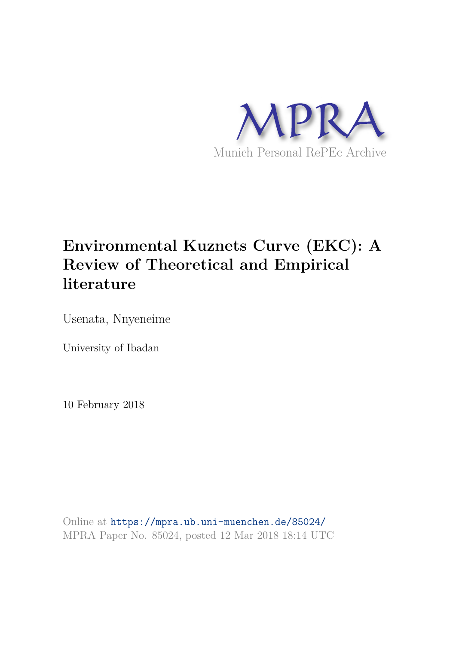

# **Environmental Kuznets Curve (EKC): A Review of Theoretical and Empirical literature**

Usenata, Nnyeneime

University of Ibadan

10 February 2018

Online at https://mpra.ub.uni-muenchen.de/85024/ MPRA Paper No. 85024, posted 12 Mar 2018 18:14 UTC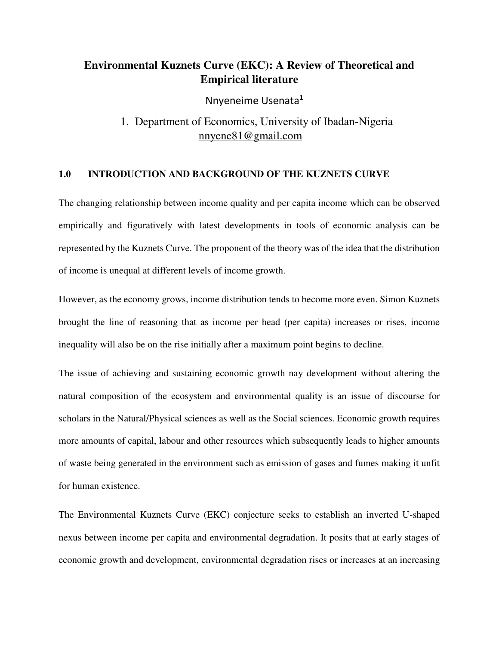### **Environmental Kuznets Curve (EKC): A Review of Theoretical and Empirical literature**

Nnyeneime Usenata**<sup>1</sup>**

## 1. Department of Economics, University of Ibadan-Nigeria nnyene81@gmail.com

### **1.0 INTRODUCTION AND BACKGROUND OF THE KUZNETS CURVE**

The changing relationship between income quality and per capita income which can be observed empirically and figuratively with latest developments in tools of economic analysis can be represented by the Kuznets Curve. The proponent of the theory was of the idea that the distribution of income is unequal at different levels of income growth.

However, as the economy grows, income distribution tends to become more even. Simon Kuznets brought the line of reasoning that as income per head (per capita) increases or rises, income inequality will also be on the rise initially after a maximum point begins to decline.

The issue of achieving and sustaining economic growth nay development without altering the natural composition of the ecosystem and environmental quality is an issue of discourse for scholars in the Natural/Physical sciences as well as the Social sciences. Economic growth requires more amounts of capital, labour and other resources which subsequently leads to higher amounts of waste being generated in the environment such as emission of gases and fumes making it unfit for human existence.

The Environmental Kuznets Curve (EKC) conjecture seeks to establish an inverted U-shaped nexus between income per capita and environmental degradation. It posits that at early stages of economic growth and development, environmental degradation rises or increases at an increasing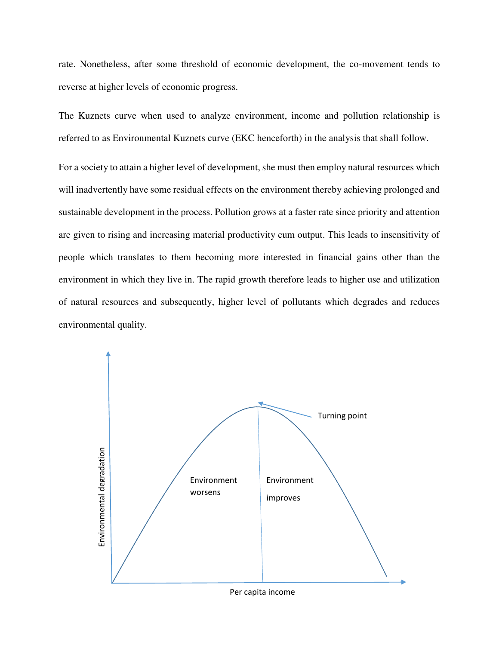rate. Nonetheless, after some threshold of economic development, the co-movement tends to reverse at higher levels of economic progress.

The Kuznets curve when used to analyze environment, income and pollution relationship is referred to as Environmental Kuznets curve (EKC henceforth) in the analysis that shall follow.

For a society to attain a higher level of development, she must then employ natural resources which will inadvertently have some residual effects on the environment thereby achieving prolonged and sustainable development in the process. Pollution grows at a faster rate since priority and attention are given to rising and increasing material productivity cum output. This leads to insensitivity of people which translates to them becoming more interested in financial gains other than the environment in which they live in. The rapid growth therefore leads to higher use and utilization of natural resources and subsequently, higher level of pollutants which degrades and reduces environmental quality.

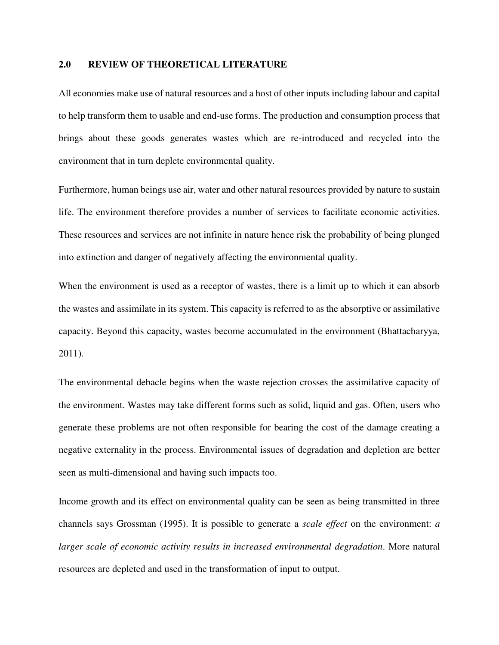### **2.0 REVIEW OF THEORETICAL LITERATURE**

All economies make use of natural resources and a host of other inputs including labour and capital to help transform them to usable and end-use forms. The production and consumption process that brings about these goods generates wastes which are re-introduced and recycled into the environment that in turn deplete environmental quality.

Furthermore, human beings use air, water and other natural resources provided by nature to sustain life. The environment therefore provides a number of services to facilitate economic activities. These resources and services are not infinite in nature hence risk the probability of being plunged into extinction and danger of negatively affecting the environmental quality.

When the environment is used as a receptor of wastes, there is a limit up to which it can absorb the wastes and assimilate in its system. This capacity is referred to as the absorptive or assimilative capacity. Beyond this capacity, wastes become accumulated in the environment (Bhattacharyya, 2011).

The environmental debacle begins when the waste rejection crosses the assimilative capacity of the environment. Wastes may take different forms such as solid, liquid and gas. Often, users who generate these problems are not often responsible for bearing the cost of the damage creating a negative externality in the process. Environmental issues of degradation and depletion are better seen as multi-dimensional and having such impacts too.

Income growth and its effect on environmental quality can be seen as being transmitted in three channels says Grossman (1995). It is possible to generate a *scale effect* on the environment: *a larger scale of economic activity results in increased environmental degradation*. More natural resources are depleted and used in the transformation of input to output.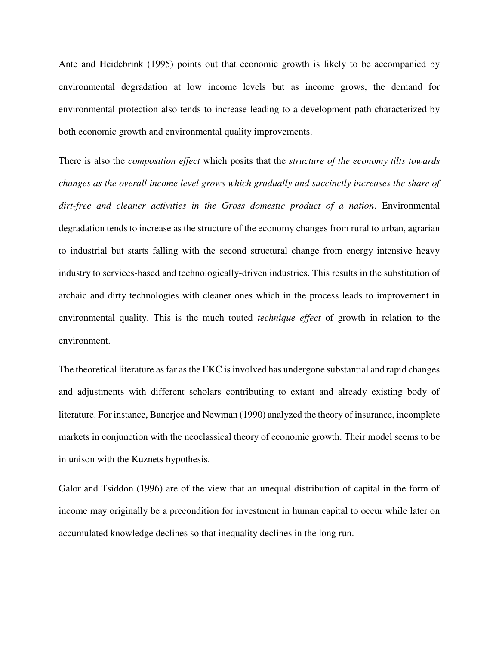Ante and Heidebrink (1995) points out that economic growth is likely to be accompanied by environmental degradation at low income levels but as income grows, the demand for environmental protection also tends to increase leading to a development path characterized by both economic growth and environmental quality improvements.

There is also the *composition effect* which posits that the *structure of the economy tilts towards changes as the overall income level grows which gradually and succinctly increases the share of dirt-free and cleaner activities in the Gross domestic product of a nation*. Environmental degradation tends to increase as the structure of the economy changes from rural to urban, agrarian to industrial but starts falling with the second structural change from energy intensive heavy industry to services-based and technologically-driven industries. This results in the substitution of archaic and dirty technologies with cleaner ones which in the process leads to improvement in environmental quality. This is the much touted *technique effect* of growth in relation to the environment.

The theoretical literature as far as the EKC is involved has undergone substantial and rapid changes and adjustments with different scholars contributing to extant and already existing body of literature. For instance, Banerjee and Newman (1990) analyzed the theory of insurance, incomplete markets in conjunction with the neoclassical theory of economic growth. Their model seems to be in unison with the Kuznets hypothesis.

Galor and Tsiddon (1996) are of the view that an unequal distribution of capital in the form of income may originally be a precondition for investment in human capital to occur while later on accumulated knowledge declines so that inequality declines in the long run.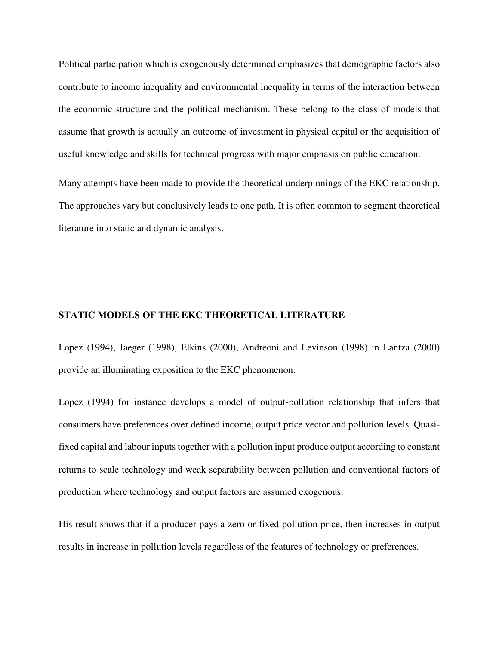Political participation which is exogenously determined emphasizes that demographic factors also contribute to income inequality and environmental inequality in terms of the interaction between the economic structure and the political mechanism. These belong to the class of models that assume that growth is actually an outcome of investment in physical capital or the acquisition of useful knowledge and skills for technical progress with major emphasis on public education.

Many attempts have been made to provide the theoretical underpinnings of the EKC relationship. The approaches vary but conclusively leads to one path. It is often common to segment theoretical literature into static and dynamic analysis.

### **STATIC MODELS OF THE EKC THEORETICAL LITERATURE**

Lopez (1994), Jaeger (1998), Elkins (2000), Andreoni and Levinson (1998) in Lantza (2000) provide an illuminating exposition to the EKC phenomenon.

Lopez (1994) for instance develops a model of output-pollution relationship that infers that consumers have preferences over defined income, output price vector and pollution levels. Quasifixed capital and labour inputs together with a pollution input produce output according to constant returns to scale technology and weak separability between pollution and conventional factors of production where technology and output factors are assumed exogenous.

His result shows that if a producer pays a zero or fixed pollution price, then increases in output results in increase in pollution levels regardless of the features of technology or preferences.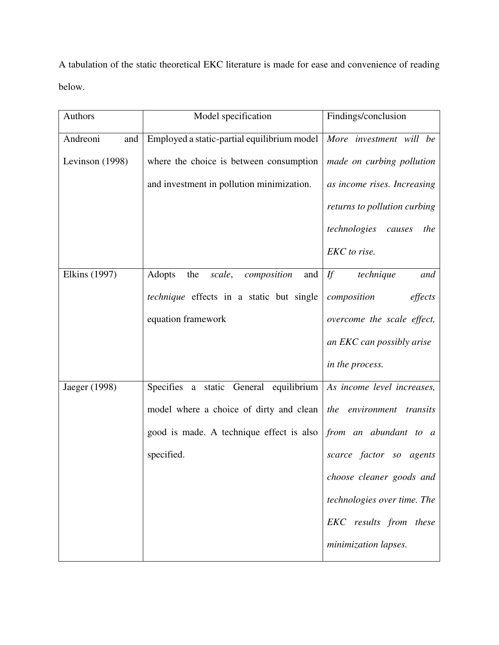A tabulation of the static theoretical EKC literature is made for ease and convenience of reading below.

| <b>Authors</b>       | Model specification                             | Findings/conclusion           |
|----------------------|-------------------------------------------------|-------------------------------|
| Andreoni<br>and      | Employed a static-partial equilibrium model     | More investment will be       |
| Levinson (1998)      | where the choice is between consumption         | made on curbing pollution     |
|                      | and investment in pollution minimization.       | as income rises. Increasing   |
|                      |                                                 | returns to pollution curbing  |
|                      |                                                 | technologies<br>causes<br>the |
|                      |                                                 | EKC to rise.                  |
| <b>Elkins</b> (1997) | Adopts<br>the<br>composition<br>and<br>scale,   | If<br>technique<br>and        |
|                      | <i>technique</i> effects in a static but single | composition<br>effects        |
|                      | equation framework                              | overcome the scale effect,    |
|                      |                                                 | an EKC can possibly arise     |
|                      |                                                 | in the process.               |
| Jaeger (1998)        | Specifies a static General equilibrium          | As income level increases,    |
|                      | model where a choice of dirty and clean         | the environment transits      |
|                      | good is made. A technique effect is also        | from an abundant to a         |
|                      | specified.                                      | scarce factor so<br>agents    |
|                      |                                                 | choose cleaner goods and      |
|                      |                                                 | technologies over time. The   |
|                      |                                                 | EKC results from these        |
|                      |                                                 | minimization lapses.          |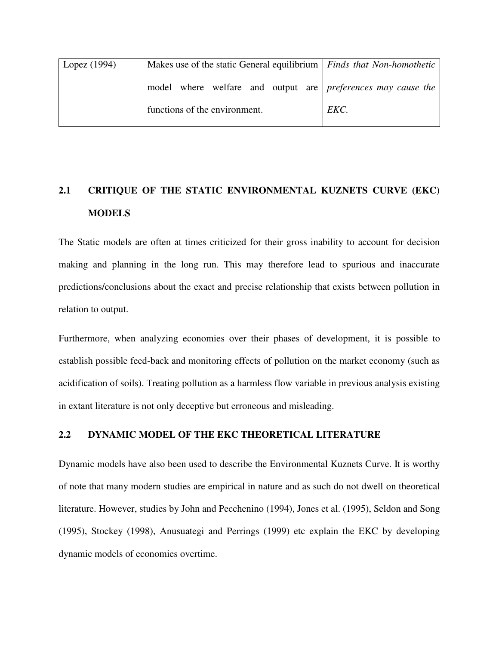| Lopez $(1994)$ | Makes use of the static General equilibrium   Finds that Non-homothetic |      |
|----------------|-------------------------------------------------------------------------|------|
|                | model where welfare and output are preferences may cause the            |      |
|                | functions of the environment.                                           | EKC. |

# **2.1 CRITIQUE OF THE STATIC ENVIRONMENTAL KUZNETS CURVE (EKC) MODELS**

The Static models are often at times criticized for their gross inability to account for decision making and planning in the long run. This may therefore lead to spurious and inaccurate predictions/conclusions about the exact and precise relationship that exists between pollution in relation to output.

Furthermore, when analyzing economies over their phases of development, it is possible to establish possible feed-back and monitoring effects of pollution on the market economy (such as acidification of soils). Treating pollution as a harmless flow variable in previous analysis existing in extant literature is not only deceptive but erroneous and misleading.

### **2.2 DYNAMIC MODEL OF THE EKC THEORETICAL LITERATURE**

Dynamic models have also been used to describe the Environmental Kuznets Curve. It is worthy of note that many modern studies are empirical in nature and as such do not dwell on theoretical literature. However, studies by John and Pecchenino (1994), Jones et al. (1995), Seldon and Song (1995), Stockey (1998), Anusuategi and Perrings (1999) etc explain the EKC by developing dynamic models of economies overtime.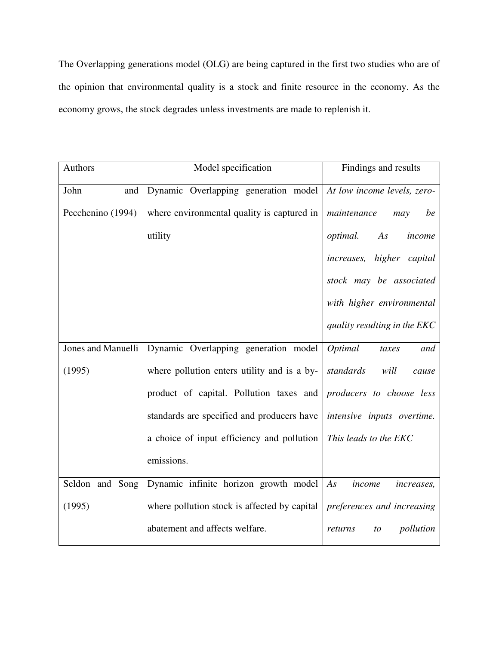The Overlapping generations model (OLG) are being captured in the first two studies who are of the opinion that environmental quality is a stock and finite resource in the economy. As the economy grows, the stock degrades unless investments are made to replenish it.

| Authors            | Model specification                          | Findings and results              |
|--------------------|----------------------------------------------|-----------------------------------|
| John<br>and        | Dynamic Overlapping generation model         | At low income levels, zero-       |
| Pecchenino (1994)  | where environmental quality is captured in   | maintenance<br>be<br>may          |
|                    | utility                                      | optimal.<br>As<br>income          |
|                    |                                              | increases, higher capital         |
|                    |                                              | stock may be associated           |
|                    |                                              | with higher environmental         |
|                    |                                              | quality resulting in the EKC      |
| Jones and Manuelli | Dynamic Overlapping generation model         | Optimal<br>and<br>taxes           |
| (1995)             | where pollution enters utility and is a by-  | standards<br>will<br>cause        |
|                    | product of capital. Pollution taxes and      | producers to choose less          |
|                    | standards are specified and producers have   | intensive inputs overtime.        |
|                    | a choice of input efficiency and pollution   | This leads to the EKC             |
|                    | emissions.                                   |                                   |
| Seldon and Song    | Dynamic infinite horizon growth model        | As<br>income<br><i>increases,</i> |
| (1995)             | where pollution stock is affected by capital | preferences and increasing        |
|                    | abatement and affects welfare.               | pollution<br>returns<br>to        |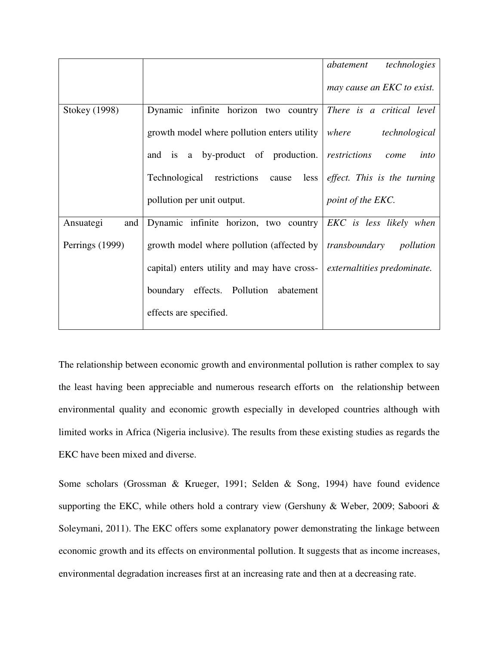|                  |                                                        | technologies<br>abatement   |
|------------------|--------------------------------------------------------|-----------------------------|
|                  |                                                        | may cause an EKC to exist.  |
| Stokey (1998)    | Dynamic infinite horizon two country                   | There is a critical level   |
|                  | growth model where pollution enters utility            | where technological         |
|                  | and is a by-product of production. <i>restrictions</i> | into<br>come                |
|                  | Technological restrictions cause less                  | effect. This is the turning |
|                  | pollution per unit output.                             | point of the EKC.           |
| Ansuategi<br>and | Dynamic infinite horizon, two country                  | EKC is less likely when     |
| Perrings (1999)  | growth model where pollution (affected by              | transboundary<br>pollution  |
|                  | capital) enters utility and may have cross-            | externaltities predominate. |
|                  | boundary effects. Pollution abatement                  |                             |
|                  | effects are specified.                                 |                             |

The relationship between economic growth and environmental pollution is rather complex to say the least having been appreciable and numerous research efforts on the relationship between environmental quality and economic growth especially in developed countries although with limited works in Africa (Nigeria inclusive). The results from these existing studies as regards the EKC have been mixed and diverse.

Some scholars (Grossman & Krueger, 1991; Selden & Song, 1994) have found evidence supporting the EKC, while others hold a contrary view (Gershuny & Weber, 2009; Saboori & Soleymani, 2011). The EKC offers some explanatory power demonstrating the linkage between economic growth and its effects on environmental pollution. It suggests that as income increases, environmental degradation increases first at an increasing rate and then at a decreasing rate.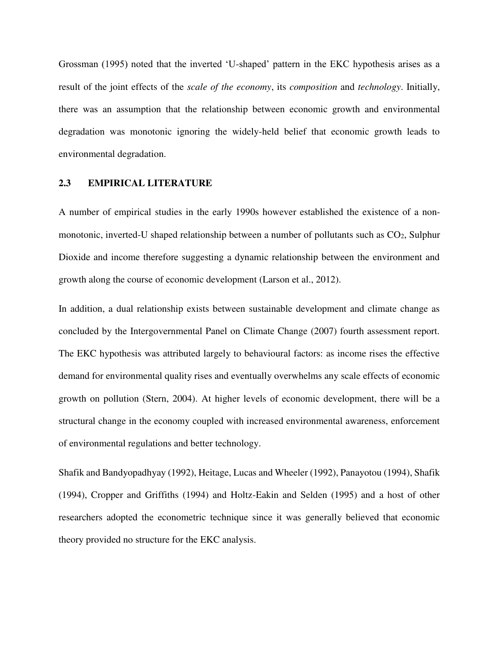Grossman (1995) noted that the inverted 'U-shaped' pattern in the EKC hypothesis arises as a result of the joint effects of the *scale of the economy*, its *composition* and *technology*. Initially, there was an assumption that the relationship between economic growth and environmental degradation was monotonic ignoring the widely-held belief that economic growth leads to environmental degradation.

### **2.3 EMPIRICAL LITERATURE**

A number of empirical studies in the early 1990s however established the existence of a nonmonotonic, inverted-U shaped relationship between a number of pollutants such as  $CO<sub>2</sub>$ , Sulphur Dioxide and income therefore suggesting a dynamic relationship between the environment and growth along the course of economic development (Larson et al., 2012).

In addition, a dual relationship exists between sustainable development and climate change as concluded by the Intergovernmental Panel on Climate Change (2007) fourth assessment report. The EKC hypothesis was attributed largely to behavioural factors: as income rises the effective demand for environmental quality rises and eventually overwhelms any scale effects of economic growth on pollution (Stern, 2004). At higher levels of economic development, there will be a structural change in the economy coupled with increased environmental awareness, enforcement of environmental regulations and better technology.

Shafik and Bandyopadhyay (1992), Heitage, Lucas and Wheeler (1992), Panayotou (1994), Shafik (1994), Cropper and Griffiths (1994) and Holtz-Eakin and Selden (1995) and a host of other researchers adopted the econometric technique since it was generally believed that economic theory provided no structure for the EKC analysis.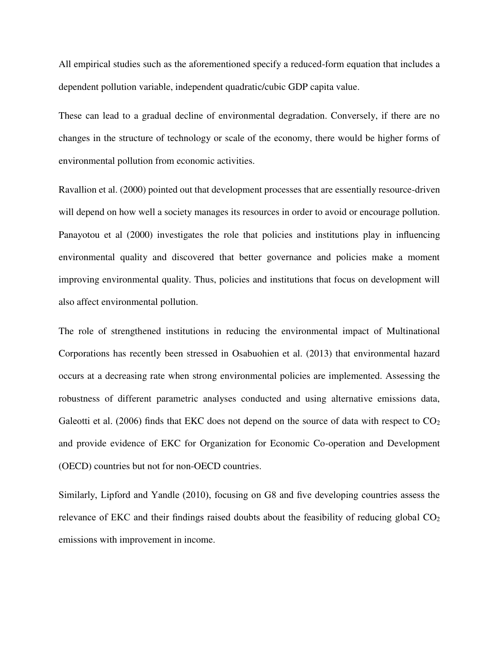All empirical studies such as the aforementioned specify a reduced-form equation that includes a dependent pollution variable, independent quadratic/cubic GDP capita value.

These can lead to a gradual decline of environmental degradation. Conversely, if there are no changes in the structure of technology or scale of the economy, there would be higher forms of environmental pollution from economic activities.

Ravallion et al. (2000) pointed out that development processes that are essentially resource-driven will depend on how well a society manages its resources in order to avoid or encourage pollution. Panayotou et al (2000) investigates the role that policies and institutions play in influencing environmental quality and discovered that better governance and policies make a moment improving environmental quality. Thus, policies and institutions that focus on development will also affect environmental pollution.

The role of strengthened institutions in reducing the environmental impact of Multinational Corporations has recently been stressed in Osabuohien et al. (2013) that environmental hazard occurs at a decreasing rate when strong environmental policies are implemented. Assessing the robustness of different parametric analyses conducted and using alternative emissions data, Galeotti et al. (2006) finds that EKC does not depend on the source of data with respect to  $CO<sub>2</sub>$ and provide evidence of EKC for Organization for Economic Co-operation and Development (OECD) countries but not for non-OECD countries.

Similarly, Lipford and Yandle (2010), focusing on G8 and five developing countries assess the relevance of EKC and their findings raised doubts about the feasibility of reducing global  $CO<sub>2</sub>$ emissions with improvement in income.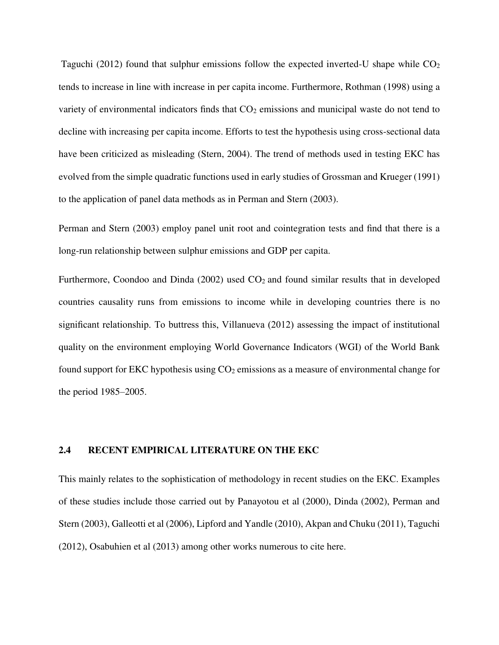Taguchi (2012) found that sulphur emissions follow the expected inverted-U shape while  $CO<sub>2</sub>$ tends to increase in line with increase in per capita income. Furthermore, Rothman (1998) using a variety of environmental indicators finds that  $CO<sub>2</sub>$  emissions and municipal waste do not tend to decline with increasing per capita income. Efforts to test the hypothesis using cross-sectional data have been criticized as misleading (Stern, 2004). The trend of methods used in testing EKC has evolved from the simple quadratic functions used in early studies of Grossman and Krueger (1991) to the application of panel data methods as in Perman and Stern (2003).

Perman and Stern (2003) employ panel unit root and cointegration tests and find that there is a long-run relationship between sulphur emissions and GDP per capita.

Furthermore, Coondoo and Dinda  $(2002)$  used  $CO<sub>2</sub>$  and found similar results that in developed countries causality runs from emissions to income while in developing countries there is no significant relationship. To buttress this, Villanueva (2012) assessing the impact of institutional quality on the environment employing World Governance Indicators (WGI) of the World Bank found support for EKC hypothesis using  $CO<sub>2</sub>$  emissions as a measure of environmental change for the period 1985–2005.

### **2.4 RECENT EMPIRICAL LITERATURE ON THE EKC**

This mainly relates to the sophistication of methodology in recent studies on the EKC. Examples of these studies include those carried out by Panayotou et al (2000), Dinda (2002), Perman and Stern (2003), Galleotti et al (2006), Lipford and Yandle (2010), Akpan and Chuku (2011), Taguchi (2012), Osabuhien et al (2013) among other works numerous to cite here.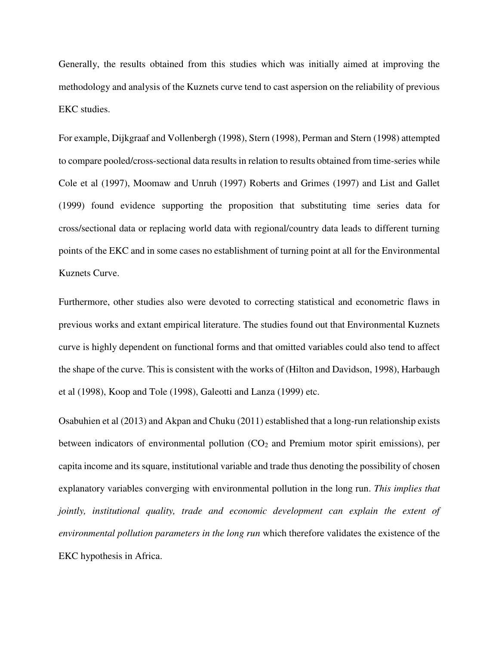Generally, the results obtained from this studies which was initially aimed at improving the methodology and analysis of the Kuznets curve tend to cast aspersion on the reliability of previous EKC studies.

For example, Dijkgraaf and Vollenbergh (1998), Stern (1998), Perman and Stern (1998) attempted to compare pooled/cross-sectional data results in relation to results obtained from time-series while Cole et al (1997), Moomaw and Unruh (1997) Roberts and Grimes (1997) and List and Gallet (1999) found evidence supporting the proposition that substituting time series data for cross/sectional data or replacing world data with regional/country data leads to different turning points of the EKC and in some cases no establishment of turning point at all for the Environmental Kuznets Curve.

Furthermore, other studies also were devoted to correcting statistical and econometric flaws in previous works and extant empirical literature. The studies found out that Environmental Kuznets curve is highly dependent on functional forms and that omitted variables could also tend to affect the shape of the curve. This is consistent with the works of (Hilton and Davidson, 1998), Harbaugh et al (1998), Koop and Tole (1998), Galeotti and Lanza (1999) etc.

Osabuhien et al (2013) and Akpan and Chuku (2011) established that a long-run relationship exists between indicators of environmental pollution  $(CO<sub>2</sub>$  and Premium motor spirit emissions), per capita income and its square, institutional variable and trade thus denoting the possibility of chosen explanatory variables converging with environmental pollution in the long run. *This implies that jointly, institutional quality, trade and economic development can explain the extent of environmental pollution parameters in the long run* which therefore validates the existence of the EKC hypothesis in Africa.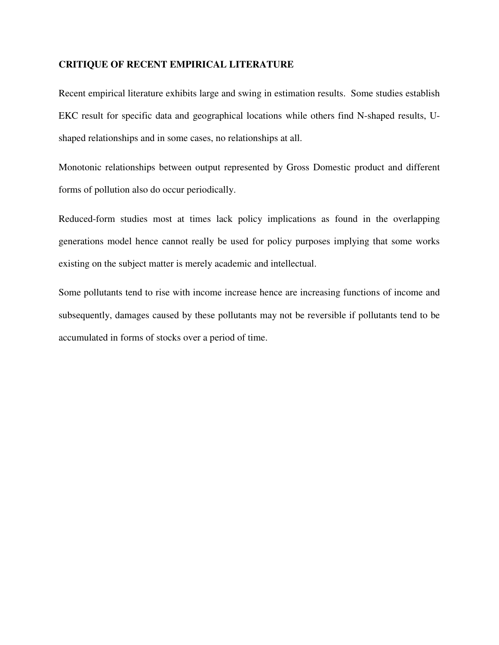### **CRITIQUE OF RECENT EMPIRICAL LITERATURE**

Recent empirical literature exhibits large and swing in estimation results. Some studies establish EKC result for specific data and geographical locations while others find N-shaped results, Ushaped relationships and in some cases, no relationships at all.

Monotonic relationships between output represented by Gross Domestic product and different forms of pollution also do occur periodically.

Reduced-form studies most at times lack policy implications as found in the overlapping generations model hence cannot really be used for policy purposes implying that some works existing on the subject matter is merely academic and intellectual.

Some pollutants tend to rise with income increase hence are increasing functions of income and subsequently, damages caused by these pollutants may not be reversible if pollutants tend to be accumulated in forms of stocks over a period of time.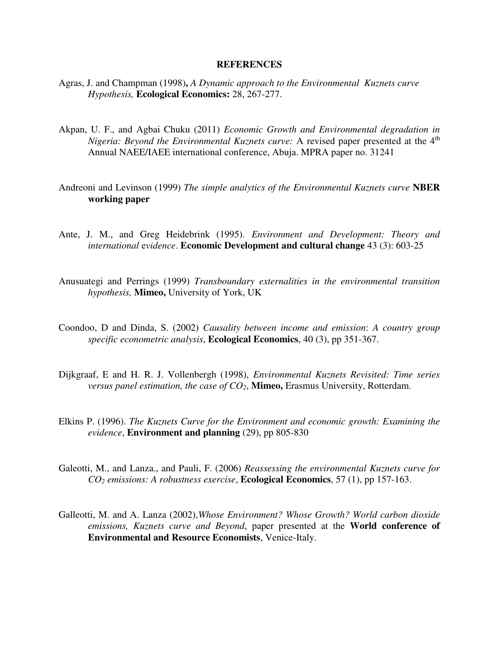#### **REFERENCES**

- Agras, J. and Champman (1998)**,** *A Dynamic approach to the Environmental Kuznets curve Hypothesis,* **Ecological Economics:** 28, 267-277.
- Akpan, U. F., and Agbai Chuku (2011) *Economic Growth and Environmental degradation in Nigeria: Beyond the Environmental Kuznets curve:* A revised paper presented at the 4<sup>th</sup> Annual NAEE/IAEE international conference, Abuja. MPRA paper no. 31241
- Andreoni and Levinson (1999) *The simple analytics of the Environmental Kuznets curve* **NBER working paper**
- Ante, J. M., and Greg Heidebrink (1995). *Environment and Development: Theory and international* e*vidence*. **Economic Development and cultural change** 43 (3): 603-25
- Anusuategi and Perrings (1999) *Transboundary externalities in the environmental transition hypothesis,* **Mimeo,** University of York, UK
- Coondoo, D and Dinda, S. (2002) *Causality between income and emission*: *A country group specific econometric analysis*, **Ecological Economics**, 40 (3), pp 351-367.
- Dijkgraaf, E and H. R. J. Vollenbergh (1998), *Environmental Kuznets Revisited: Time series versus panel estimation, the case of CO2*, **Mimeo,** Erasmus University, Rotterdam.
- Elkins P. (1996). *The Kuznets Curve for the Environment and economic growth: Examining the evidence*, **Environment and planning** (29), pp 805-830
- Galeotti, M., and Lanza., and Pauli, F. (2006) *Reassessing the environmental Kuznets curve for CO2 emissions: A robustness exercise*, **Ecological Economics**, 57 (1), pp 157-163.
- Galleotti, M. and A. Lanza (2002),*Whose Environment? Whose Growth? World carbon dioxide emissions, Kuznets curve and Beyond*, paper presented at the **World conference of Environmental and Resource Economists**, Venice-Italy.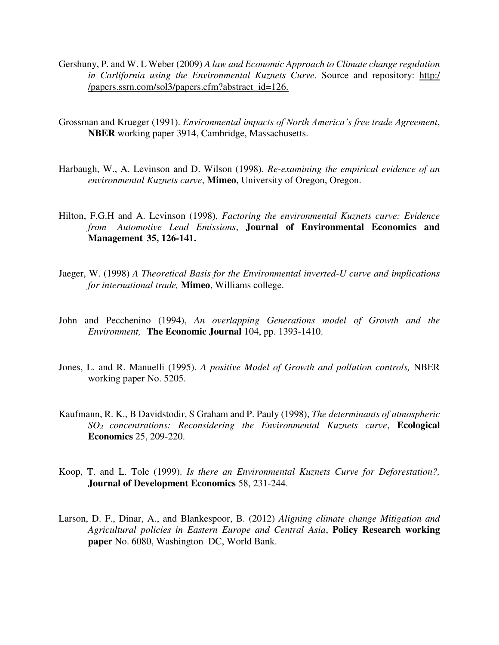- Gershuny, P. and W. L Weber (2009) *A law and Economic Approach to Climate change regulation in Carlifornia using the Environmental Kuznets Curve*. Source and repository: http:/ /papers.ssrn.com/sol3/papers.cfm?abstract\_id=126.
- Grossman and Krueger (1991). *Environmental impacts of North America's free trade Agreement*, **NBER** working paper 3914, Cambridge, Massachusetts.
- Harbaugh, W., A. Levinson and D. Wilson (1998). *Re-examining the empirical evidence of an environmental Kuznets curve*, **Mimeo**, University of Oregon, Oregon.
- Hilton, F.G.H and A. Levinson (1998), *Factoring the environmental Kuznets curve: Evidence from Automotive Lead Emissions*, **Journal of Environmental Economics and Management 35, 126-141.**
- Jaeger, W. (1998) *A Theoretical Basis for the Environmental inverted-U curve and implications for international trade,* **Mimeo**, Williams college.
- John and Pecchenino (1994), *An overlapping Generations model of Growth and the Environment,* **The Economic Journal** 104, pp. 1393-1410.
- Jones, L. and R. Manuelli (1995). *A positive Model of Growth and pollution controls,* NBER working paper No. 5205.
- Kaufmann, R. K., B Davidstodir, S Graham and P. Pauly (1998), *The determinants of atmospheric SO2 concentrations: Reconsidering the Environmental Kuznets curve*, **Ecological Economics** 25, 209-220.
- Koop, T. and L. Tole (1999). *Is there an Environmental Kuznets Curve for Deforestation?,*  **Journal of Development Economics** 58, 231-244.
- Larson, D. F., Dinar, A., and Blankespoor, B. (2012) *Aligning climate change Mitigation and Agricultural policies in Eastern Europe and Central Asia*, **Policy Research working paper** No. 6080, Washington DC, World Bank.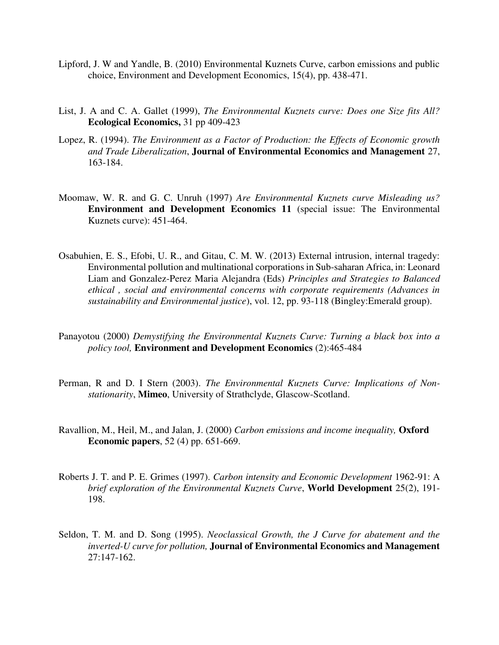- Lipford, J. W and Yandle, B. (2010) Environmental Kuznets Curve, carbon emissions and public choice, Environment and Development Economics, 15(4), pp. 438-471.
- List, J. A and C. A. Gallet (1999), *The Environmental Kuznets curve: Does one Size fits All?*  **Ecological Economics,** 31 pp 409-423
- Lopez, R. (1994). *The Environment as a Factor of Production: the Effects of Economic growth and Trade Liberalization*, **Journal of Environmental Economics and Management** 27, 163-184.
- Moomaw, W. R. and G. C. Unruh (1997) *Are Environmental Kuznets curve Misleading us?*  **Environment and Development Economics 11** (special issue: The Environmental Kuznets curve): 451-464.
- Osabuhien, E. S., Efobi, U. R., and Gitau, C. M. W. (2013) External intrusion, internal tragedy: Environmental pollution and multinational corporations in Sub-saharan Africa, in: Leonard Liam and Gonzalez-Perez Maria Alejandra (Eds) *Principles and Strategies to Balanced ethical , social and environmental concerns with corporate requirements (Advances in sustainability and Environmental justice*), vol. 12, pp. 93-118 (Bingley:Emerald group).
- Panayotou (2000) *Demystifying the Environmental Kuznets Curve: Turning a black box into a policy tool,* **Environment and Development Economics** (2):465-484
- Perman, R and D. I Stern (2003). *The Environmental Kuznets Curve: Implications of Nonstationarity*, **Mimeo**, University of Strathclyde, Glascow-Scotland.
- Ravallion, M., Heil, M., and Jalan, J. (2000) *Carbon emissions and income inequality,* **Oxford Economic papers**, 52 (4) pp. 651-669.
- Roberts J. T. and P. E. Grimes (1997). *Carbon intensity and Economic Development* 1962-91: A *brief exploration of the Environmental Kuznets Curve*, **World Development** 25(2), 191- 198.
- Seldon, T. M. and D. Song (1995). *Neoclassical Growth, the J Curve for abatement and the inverted-U curve for pollution,* **Journal of Environmental Economics and Management**   $27:147-162$ .